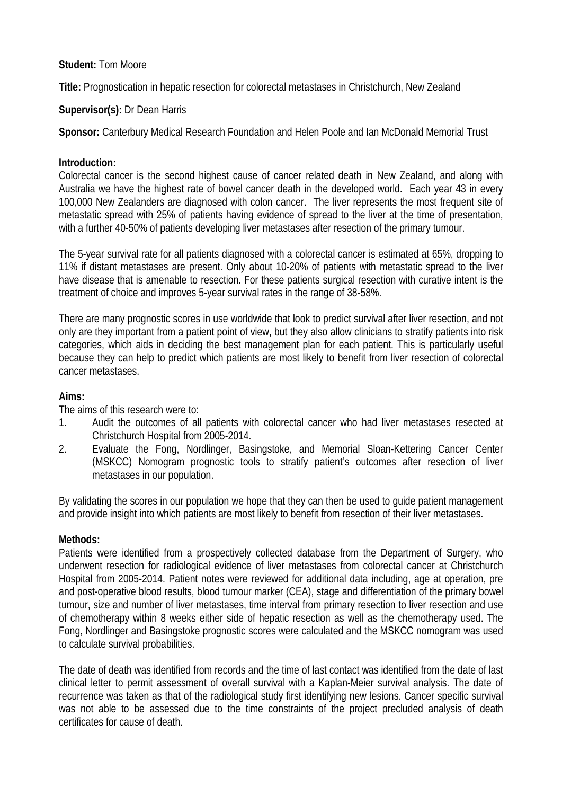# **Student:** Tom Moore

**Title:** Prognostication in hepatic resection for colorectal metastases in Christchurch, New Zealand

### **Supervisor(s):** Dr Dean Harris

**Sponsor:** Canterbury Medical Research Foundation and Helen Poole and Ian McDonald Memorial Trust

### **Introduction:**

Colorectal cancer is the second highest cause of cancer related death in New Zealand, and along with Australia we have the highest rate of bowel cancer death in the developed world. Each year 43 in every 100,000 New Zealanders are diagnosed with colon cancer. The liver represents the most frequent site of metastatic spread with 25% of patients having evidence of spread to the liver at the time of presentation, with a further 40-50% of patients developing liver metastases after resection of the primary tumour.

The 5-year survival rate for all patients diagnosed with a colorectal cancer is estimated at 65%, dropping to 11% if distant metastases are present. Only about 10-20% of patients with metastatic spread to the liver have disease that is amenable to resection. For these patients surgical resection with curative intent is the treatment of choice and improves 5-year survival rates in the range of 38-58%.

There are many prognostic scores in use worldwide that look to predict survival after liver resection, and not only are they important from a patient point of view, but they also allow clinicians to stratify patients into risk categories, which aids in deciding the best management plan for each patient. This is particularly useful because they can help to predict which patients are most likely to benefit from liver resection of colorectal cancer metastases.

### **Aims:**

The aims of this research were to:

- 1. Audit the outcomes of all patients with colorectal cancer who had liver metastases resected at Christchurch Hospital from 2005-2014.
- 2. Evaluate the Fong, Nordlinger, Basingstoke, and Memorial Sloan-Kettering Cancer Center (MSKCC) Nomogram prognostic tools to stratify patient's outcomes after resection of liver metastases in our population.

By validating the scores in our population we hope that they can then be used to guide patient management and provide insight into which patients are most likely to benefit from resection of their liver metastases.

#### **Methods:**

Patients were identified from a prospectively collected database from the Department of Surgery, who underwent resection for radiological evidence of liver metastases from colorectal cancer at Christchurch Hospital from 2005-2014. Patient notes were reviewed for additional data including, age at operation, pre and post-operative blood results, blood tumour marker (CEA), stage and differentiation of the primary bowel tumour, size and number of liver metastases, time interval from primary resection to liver resection and use of chemotherapy within 8 weeks either side of hepatic resection as well as the chemotherapy used. The Fong, Nordlinger and Basingstoke prognostic scores were calculated and the MSKCC nomogram was used to calculate survival probabilities.

The date of death was identified from records and the time of last contact was identified from the date of last clinical letter to permit assessment of overall survival with a Kaplan-Meier survival analysis. The date of recurrence was taken as that of the radiological study first identifying new lesions. Cancer specific survival was not able to be assessed due to the time constraints of the project precluded analysis of death certificates for cause of death.